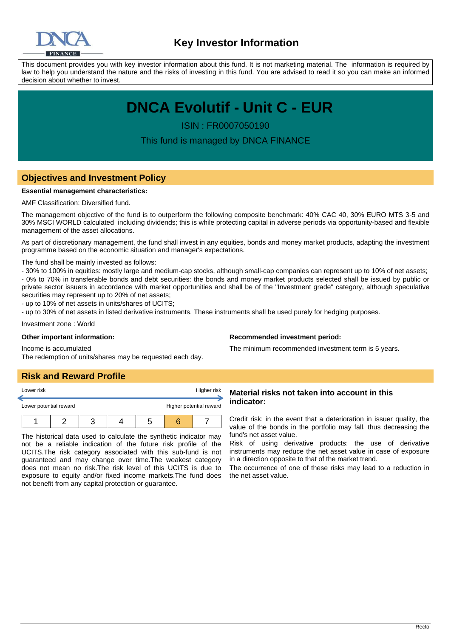

This document provides you with key investor information about this fund. It is not marketing material. The information is required by law to help you understand the nature and the risks of investing in this fund. You are advised to read it so you can make an informed decision about whether to invest.

# **DNCA Evolutif - Unit C - EUR**

ISIN : FR0007050190

This fund is managed by DNCA FINANCE

# **Objectives and Investment Policy**

#### **Essential management characteristics:**

AMF Classification: Diversified fund.

The management objective of the fund is to outperform the following composite benchmark: 40% CAC 40, 30% EURO MTS 3-5 and 30% MSCI WORLD calculated including dividends; this is while protecting capital in adverse periods via opportunity-based and flexible management of the asset allocations.

As part of discretionary management, the fund shall invest in any equities, bonds and money market products, adapting the investment programme based on the economic situation and manager's expectations.

The fund shall be mainly invested as follows:

- 30% to 100% in equities: mostly large and medium-cap stocks, although small-cap companies can represent up to 10% of net assets; - 0% to 70% in transferable bonds and debt securities: the bonds and money market products selected shall be issued by public or private sector issuers in accordance with market opportunities and shall be of the "Investment grade" category, although speculative securities may represent up to 20% of net assets:

- up to 10% of net assets in units/shares of UCITS;

- up to 30% of net assets in listed derivative instruments. These instruments shall be used purely for hedging purposes.

Investment zone : World

Income is accumulated

#### **Other important information:**

#### **Recommended investment period:**

The minimum recommended investment term is 5 years.

## **Risk and Reward Profile**

| Lower risk             |  |  | Higher risk |                         |
|------------------------|--|--|-------------|-------------------------|
| Lower potential reward |  |  |             | Higher potential reward |
|                        |  |  |             |                         |

The redemption of units/shares may be requested each day.

The historical data used to calculate the synthetic indicator may not be a reliable indication of the future risk profile of the UCITS.The risk category associated with this sub-fund is not guaranteed and may change over time.The weakest category does not mean no risk.The risk level of this UCITS is due to exposure to equity and/or fixed income markets.The fund does not benefit from any capital protection or guarantee.

### **Material risks not taken into account in this indicator:**

Credit risk: in the event that a deterioration in issuer quality, the value of the bonds in the portfolio may fall, thus decreasing the fund's net asset value.

Risk of using derivative products: the use of derivative instruments may reduce the net asset value in case of exposure in a direction opposite to that of the market trend.

The occurrence of one of these risks may lead to a reduction in the net asset value.